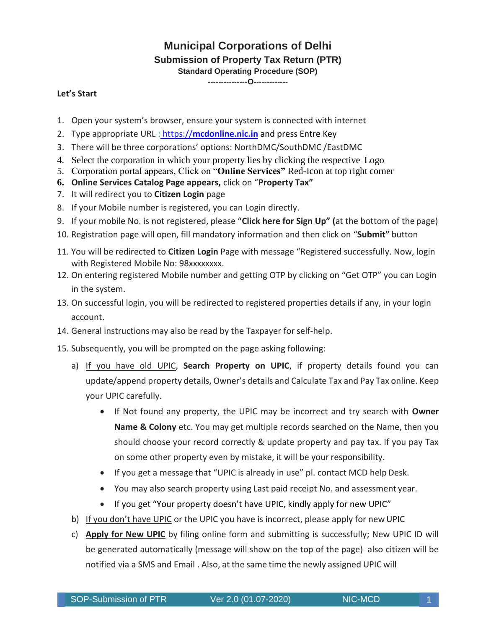## **Municipal Corporations of Delhi**

## **Submission of Property Tax Return (PTR)**

**Standard Operating Procedure (SOP)**

**---------------O-------------**

## **Let's Start**

- 1. Open your system's browser, ensure your system is connected with internet
- 2. Type appropriate URL : https://**mcdonline.nic.in** and press Entre Key
- 3. There will be three corporations' options: NorthDMC/SouthDMC /EastDMC
- 4. Select the corporation in which your property lies by clicking the respective Logo
- 5. Corporation portal appears, Click on "**Online Services"** Red-Icon at top right corner
- **6. Online Services Catalog Page appears,** click on "**Property Tax"**
- 7. It will redirect you to **Citizen Login** page
- 8. If your Mobile number is registered, you can Login directly.
- 9. If your mobile No. is not registered, please "**Click here for Sign Up" (**at the bottom of the page)
- 10. Registration page will open, fill mandatory information and then click on "**Submit"** button
- 11. You will be redirected to **Citizen Login** Page with message "Registered successfully. Now, login with Registered Mobile No: 98xxxxxxxx.
- 12. On entering registered Mobile number and getting OTP by clicking on "Get OTP" you can Login in the system.
- 13. On successful login, you will be redirected to registered properties details if any, in your login account.
- 14. General instructions may also be read by the Taxpayer for self-help.
- 15. Subsequently, you will be prompted on the page asking following:
	- a) If you have old UPIC, **Search Property on UPIC**, if property details found you can update/append property details, Owner's details and Calculate Tax and Pay Tax online. Keep your UPIC carefully.
		- If Not found any property, the UPIC may be incorrect and try search with **Owner Name & Colony** etc. You may get multiple records searched on the Name, then you should choose your record correctly & update property and pay tax. If you pay Tax on some other property even by mistake, it will be your responsibility.
		- If you get a message that "UPIC is already in use" pl. contact MCD help Desk.
		- You may also search property using Last paid receipt No. and assessment year.
		- If you get "Your property doesn't have UPIC, kindly apply for new UPIC"
	- b) If you don't have UPIC or the UPIC you have is incorrect, please apply for new UPIC
	- c) **Apply for New UPIC** by filing online form and submitting is successfully; New UPIC ID will be generated automatically (message will show on the top of the page) also citizen will be notified via a SMS and Email . Also, at the same time the newly assigned UPIC will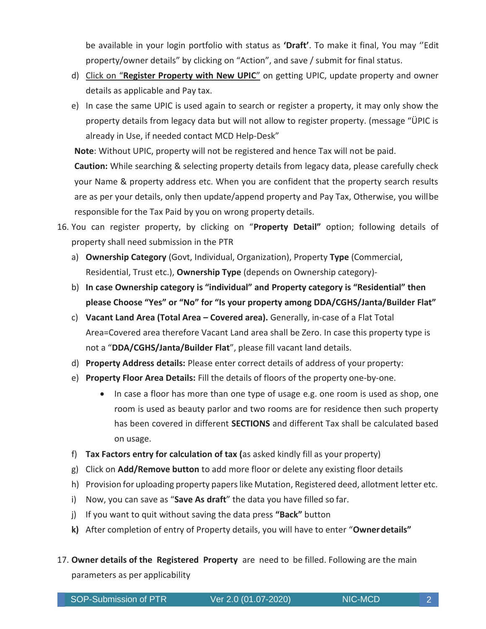be available in your login portfolio with status as **'Draft'**. To make it final, You may ''Edit property/owner details" by clicking on "Action", and save / submit for final status.

- d) Click on "**Register Property with New UPIC**" on getting UPIC, update property and owner details as applicable and Pay tax.
- e) In case the same UPIC is used again to search or register a property, it may only show the property details from legacy data but will not allow to register property. (message "ÜPIC is already in Use, if needed contact MCD Help-Desk"

**Note**: Without UPIC, property will not be registered and hence Tax will not be paid.

**Caution:** While searching & selecting property details from legacy data, please carefully check your Name & property address etc. When you are confident that the property search results are as per your details, only then update/append property and Pay Tax, Otherwise, you willbe responsible for the Tax Paid by you on wrong property details.

- 16. You can register property, by clicking on "**Property Detail"** option; following details of property shall need submission in the PTR
	- a) **Ownership Category** (Govt, Individual, Organization), Property **Type** (Commercial, Residential, Trust etc.), **Ownership Type** (depends on Ownership category)-
	- b) **In case Ownership category is "individual" and Property category is "Residential" then please Choose "Yes" or "No" for "Is your property among DDA/CGHS/Janta/Builder Flat"**
	- c) **Vacant Land Area (Total Area – Covered area).** Generally, in-case of a Flat Total Area=Covered area therefore Vacant Land area shall be Zero. In case this property type is not a "**DDA/CGHS/Janta/Builder Flat**", please fill vacant land details.
	- d) **Property Address details:** Please enter correct details of address of your property:
	- e) **Property Floor Area Details:** Fill the details of floors of the property one-by-one.
		- In case a floor has more than one type of usage e.g. one room is used as shop, one room is used as beauty parlor and two rooms are for residence then such property has been covered in different **SECTIONS** and different Tax shall be calculated based on usage.
	- f) **Tax Factors entry for calculation of tax (**as asked kindly fill as your property)
	- g) Click on **Add/Remove button** to add more floor or delete any existing floor details
	- h) Provision for uploading property paperslike Mutation, Registered deed, allotment letter etc.
	- i) Now, you can save as "**Save As draft**" the data you have filled so far.
	- j) If you want to quit without saving the data press **"Back"** button
	- **k)** After completion of entry of Property details, you will have to enter "**Ownerdetails"**
- 17. **Owner details of the Registered Property** are need to be filled. Following are the main parameters as per applicability

SOP-Submission of PTR  $\parallel$  2  $\parallel$  Ver 2.0 (01.07-2020)  $\parallel$  2  $\parallel$  2  $\parallel$